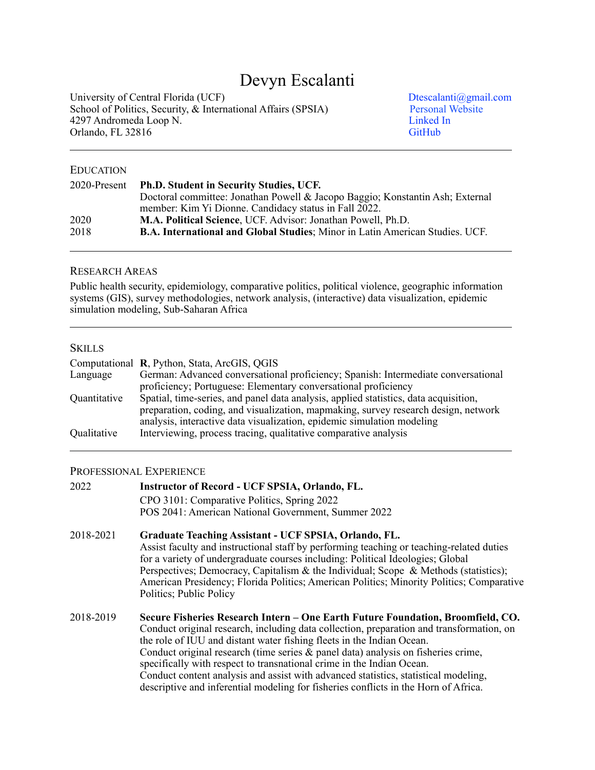# Devyn Escalanti

University of Central Florida (UCF)<br>
School of Politics, Security, & International Affairs (SPSIA)<br>
Personal Website School of Politics, Security,  $\&$  International Affairs (SPSIA) [Personal Website](http://www.devynescalanti.com) Personal Website Presonal Website Presonal Website Presonal Website Presonal Website Presonal Website Presonal Website Presonal Website Pre 4297 Andromeda Loop N.<br>
Orlando, FL 32816<br>
CitHub Orlando, FL 32816

## EDUCATION

| 2020-Present | <b>Ph.D. Student in Security Studies, UCF.</b>                                       |
|--------------|--------------------------------------------------------------------------------------|
|              | Doctoral committee: Jonathan Powell & Jacopo Baggio; Konstantin Ash; External        |
|              | member: Kim Yi Dionne. Candidacy status in Fall 2022.                                |
| 2020         | M.A. Political Science, UCF. Advisor: Jonathan Powell, Ph.D.                         |
| 2018         | <b>B.A. International and Global Studies</b> ; Minor in Latin American Studies. UCF. |

## RESEARCH AREAS

Public health security, epidemiology, comparative politics, political violence, geographic information systems (GIS), survey methodologies, network analysis, (interactive) data visualization, epidemic simulation modeling, Sub-Saharan Africa

# **SKILLS**

|              | Computational R, Python, Stata, ArcGIS, QGIS                                         |
|--------------|--------------------------------------------------------------------------------------|
| Language     | German: Advanced conversational proficiency; Spanish: Intermediate conversational    |
|              | proficiency; Portuguese: Elementary conversational proficiency                       |
| Quantitative | Spatial, time-series, and panel data analysis, applied statistics, data acquisition, |
|              | preparation, coding, and visualization, mapmaking, survey research design, network   |
|              | analysis, interactive data visualization, epidemic simulation modeling               |
| Qualitative  | Interviewing, process tracing, qualitative comparative analysis                      |

## PROFESSIONAL EXPERIENCE

| 2022      | <b>Instructor of Record - UCF SPSIA, Orlando, FL.</b><br>CPO 3101: Comparative Politics, Spring 2022                                                                                                                                                                                                                                                                                                                                                                                                                                                                                             |
|-----------|--------------------------------------------------------------------------------------------------------------------------------------------------------------------------------------------------------------------------------------------------------------------------------------------------------------------------------------------------------------------------------------------------------------------------------------------------------------------------------------------------------------------------------------------------------------------------------------------------|
|           | POS 2041: American National Government, Summer 2022                                                                                                                                                                                                                                                                                                                                                                                                                                                                                                                                              |
| 2018-2021 | Graduate Teaching Assistant - UCF SPSIA, Orlando, FL.<br>Assist faculty and instructional staff by performing teaching or teaching-related duties<br>for a variety of undergraduate courses including: Political Ideologies; Global<br>Perspectives; Democracy, Capitalism & the Individual; Scope & Methods (statistics);<br>American Presidency; Florida Politics; American Politics; Minority Politics; Comparative<br>Politics; Public Policy                                                                                                                                                |
| 2018-2019 | Secure Fisheries Research Intern – One Earth Future Foundation, Broomfield, CO.<br>Conduct original research, including data collection, preparation and transformation, on<br>the role of IUU and distant water fishing fleets in the Indian Ocean.<br>Conduct original research (time series & panel data) analysis on fisheries crime,<br>specifically with respect to transnational crime in the Indian Ocean.<br>Conduct content analysis and assist with advanced statistics, statistical modeling,<br>descriptive and inferential modeling for fisheries conflicts in the Horn of Africa. |